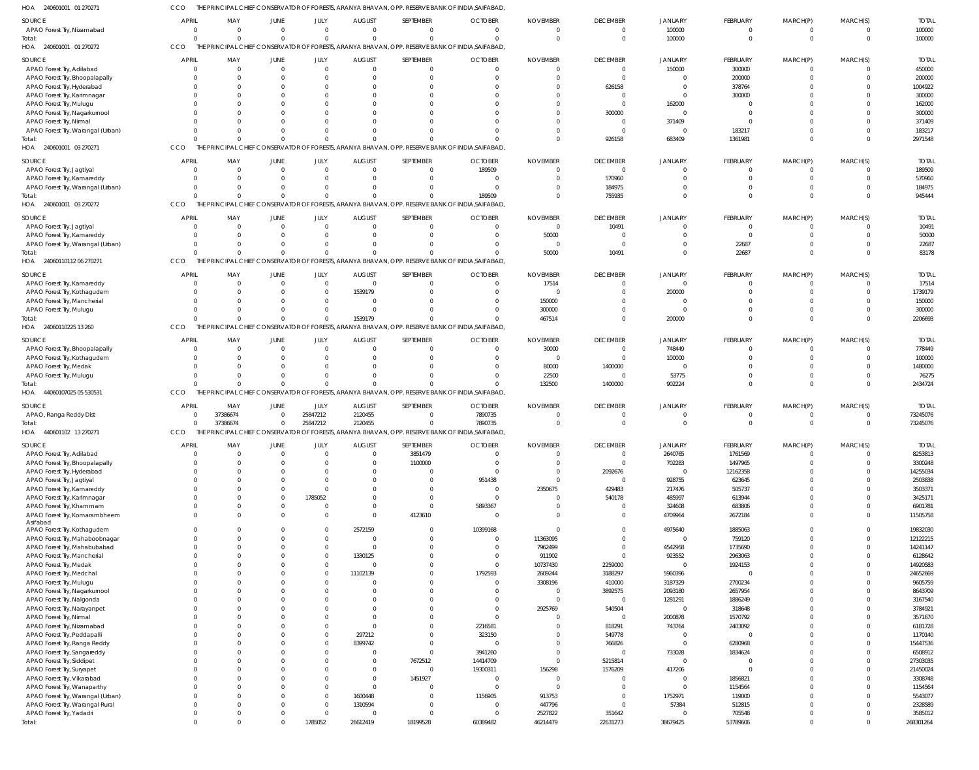| HOA<br>240601001 01 270271         |                                  |                      |                  |                     |               | THE PRINCIPAL CHIEF CONSERVATOR OF FORESTS, ARANYA BHAVAN, OPP. RESERVE BANK OF INDIA,SAIFABAD |                                                                                                  |                             |                          |                       |                    |                            |                      |                      |
|------------------------------------|----------------------------------|----------------------|------------------|---------------------|---------------|------------------------------------------------------------------------------------------------|--------------------------------------------------------------------------------------------------|-----------------------------|--------------------------|-----------------------|--------------------|----------------------------|----------------------|----------------------|
| SOURCE                             | <b>APRIL</b>                     | MAY                  | JUNE             | JULY                | <b>AUGUST</b> | SEPTEMBER                                                                                      | <b>OCTOBER</b>                                                                                   | <b>NOVEMBER</b>             | <b>DECEMBER</b>          | <b>JANUARY</b>        | FEBRUARY           | MARCH(P)                   | MARCH(S)             | <b>TOTAI</b>         |
| APAO Forest Try, Nizamabad         | $\overline{0}$                   | $\overline{0}$       | $\Omega$         | $\mathbf{0}$        | $\Omega$      | $\mathbf 0$                                                                                    | $\Omega$                                                                                         | - 0                         | $\mathbf{0}$             | 100000                | $\mathbf 0$        | $\overline{0}$             | $\Omega$             | 100000               |
| Total:                             | $\Omega$                         | $\Omega$             | $\Omega$         | $\mathbf 0$         | $\Omega$      | $\Omega$                                                                                       | $\cap$                                                                                           | $\Omega$                    | $\overline{0}$           | 100000                | $\mathbf 0$        | $\mathbf 0$                | $\Omega$             | 100000               |
| HOA 240601001 01 270272            | CCO                              |                      |                  |                     |               |                                                                                                | THE PRINCIPAL CHIEF CONSERVATOR OF FORESTS, ARANYA BHAVAN, OPP. RESERVE BANK OF INDIA, SAIFABAD, |                             |                          |                       |                    |                            |                      |                      |
|                                    | <b>APRIL</b>                     |                      |                  |                     | <b>AUGUST</b> | SEPTEMBER                                                                                      | <b>OCTOBER</b>                                                                                   |                             | <b>DECEMBER</b>          |                       |                    | MARCH(P)                   |                      | <b>TOTAL</b>         |
| SOURCE                             | $\overline{0}$                   | MAY<br>$\circ$       | JUNE<br>$\Omega$ | JULY<br>$\mathbf 0$ | $\Omega$      | $\mathbf 0$                                                                                    | $\Omega$                                                                                         | <b>NOVEMBER</b><br>$\Omega$ | $\overline{0}$           | JANUARY<br>150000     | FEBRUARY<br>300000 | $\overline{0}$             | MARCH(S)<br>$\Omega$ | 450000               |
| APAO Forest Try, Adilabad          | $\Omega$                         |                      |                  |                     |               |                                                                                                |                                                                                                  |                             | $\overline{0}$           |                       |                    |                            |                      |                      |
| APAO Forest Try, Bhoopalapally     |                                  | $\Omega$             |                  | 0                   |               | $\mathbf{0}$                                                                                   |                                                                                                  |                             |                          | $\mathbf 0$           | 200000             | $\mathbf 0$                |                      | 200000               |
| APAO Forest Try, Hyderabad         | $\Omega$                         |                      |                  |                     |               | $\Omega$                                                                                       |                                                                                                  |                             | 626158                   | $\Omega$              | 378764             | $\mathbf 0$                |                      | 1004922              |
| APAO Forest Try, Karimnagar        | $\Omega$                         | -0                   |                  |                     |               | $\Omega$                                                                                       |                                                                                                  |                             | $\overline{0}$           | $\Omega$              | 300000             | $\mathbf 0$                |                      | 300000               |
| APAO Forest Try, Mulugu            | $\Omega$                         |                      |                  |                     |               | $\Omega$                                                                                       |                                                                                                  |                             | $\overline{0}$           | 162000                | $\overline{0}$     | $\Omega$                   |                      | 162000               |
| APAO Forest Try, Nagarkurnool      | $\Omega$                         | -0                   |                  |                     |               | $\Omega$                                                                                       |                                                                                                  |                             | 300000                   | $\Omega$              | $\mathbf{0}$       | $\Omega$                   |                      | 300000               |
| APAO Forest Try, Nirmal            | $\Omega$                         |                      |                  |                     |               | $\Omega$                                                                                       |                                                                                                  |                             | $\overline{0}$           | 371409                | $\overline{0}$     | $\Omega$                   |                      | 371409               |
| APAO Forest Try, Warangal (Urban)  | $\Omega$                         | -0                   |                  |                     |               | $\Omega$                                                                                       |                                                                                                  |                             | $\overline{0}$           | $\mathbf 0$           | 183217             | $\mathbf 0$                | $\Omega$             | 183217               |
| Total:                             | $\Omega$                         | $\Omega$             | $\Omega$         |                     |               | $\Omega$                                                                                       |                                                                                                  |                             | 926158                   | 683409                | 1361981            | $\mathbf 0$                | $\Omega$             | 2971548              |
| HOA 240601001 03 270271            | CCO                              |                      |                  |                     |               |                                                                                                | THE PRINCIPAL CHIEF CONSERVATOR OF FORESTS, ARANYA BHAVAN, OPP. RESERVE BANK OF INDIA, SAIFABAD, |                             |                          |                       |                    |                            |                      |                      |
| <b>SOURCE</b>                      | <b>APRIL</b>                     | MAY                  | JUNE             | JULY                | <b>AUGUST</b> | SEPTEMBER                                                                                      | <b>OCTOBER</b>                                                                                   | <b>NOVEMBER</b>             | <b>DECEMBER</b>          | JANUARY               | FEBRUARY           | MARCH(P)                   | MARCH(S)             | <b>TOTA</b>          |
| APAO Forest Try, Jagtiyal          | $\Omega$                         | $\Omega$             | $\Omega$         | $\Omega$            | $\cap$        | $\overline{0}$                                                                                 | 189509                                                                                           |                             | $\overline{0}$           | $\mathbf 0$           | $\mathbf 0$        | $\mathbf 0$                | $\Omega$             | 189509               |
| APAO Forest Try, Kamareddy         | $\Omega$                         | $\Omega$             |                  | $\Omega$            | $\Omega$      | $\mathbf 0$                                                                                    | - 0                                                                                              |                             | 570960                   | $\mathbf 0$           | $\mathbf 0$        | $\mathbf 0$                | $\Omega$             | 570960               |
| APAO Forest Try, Warangal (Urban)  | $\Omega$                         | $\Omega$             | $\Omega$         |                     |               | $\mathbf 0$                                                                                    | $\Omega$                                                                                         |                             | 184975                   | $\Omega$              | $\mathbf 0$        | $\mathbf 0$                |                      | 184975               |
| Total:                             | $\Omega$                         | $\Omega$             | $\Omega$         | $\Omega$            |               | $\Omega$                                                                                       | 189509                                                                                           |                             | 755935                   | $\Omega$              | $\Omega$           | $\Omega$                   | $\Omega$             | 945444               |
| HOA 240601001 03 270272            | CCO                              | THE PRII             |                  |                     |               |                                                                                                | NCIPAL CHIEF CONSERVATOR OF FORESTS, ARANYA BHAVAN, OPP. RESERVE BANK OF INDIA,SAIFABAD,         |                             |                          |                       |                    |                            |                      |                      |
|                                    |                                  |                      |                  |                     |               |                                                                                                |                                                                                                  |                             |                          |                       |                    |                            |                      |                      |
| <b>SOURCE</b>                      | <b>APRIL</b>                     | MAY                  | JUNE             | JULY                | <b>AUGUST</b> | SEPTEMBER                                                                                      | <b>OCTOBER</b>                                                                                   | <b>NOVEMBER</b>             | <b>DECEMBER</b>          | JANUARY               | FEBRUARY           | MARCH(P)                   | MARCH(S)             | <b>TOTAI</b>         |
| APAO Forest Try, Jagtiyal          | $\Omega$                         | $\Omega$             | $\Omega$         | $\Omega$            | $\cap$        | $\overline{0}$                                                                                 | $\Omega$                                                                                         | $\Omega$                    | 10491                    | $\mathbf 0$           | $\mathbf{0}$       | $\overline{0}$             | $\Omega$             | 10491                |
| APAO Forest Try, Kamareddy         | $\Omega$                         | - 0                  |                  | $\mathbf{0}$        |               | $\mathbf 0$                                                                                    |                                                                                                  | 50000                       | $\overline{0}$           | $\mathbf 0$           | $\mathbf 0$        | $\mathbf 0$                | $\Omega$             | 50000                |
| APAO Forest Try, Warangal (Urban)  | $\Omega$                         | $\Omega$             |                  |                     |               | $\Omega$                                                                                       |                                                                                                  | - 0                         | $\overline{0}$           | $\mathbf 0$           | 22687              | $\mathbf 0$                |                      | 22687                |
| Total:                             | $\Omega$                         | $\Omega$             |                  |                     |               | $\Omega$                                                                                       |                                                                                                  | 50000                       | 10491                    | $\mathbf 0$           | 22687              | $\mathbf 0$                | $\Omega$             | 83178                |
| HOA 24060110112 06 270271          | CCO                              |                      |                  |                     |               |                                                                                                | THE PRINCIPAL CHIEF CONSERVATOR OF FORESTS, ARANYA BHAVAN, OPP. RESERVE BANK OF INDIA, SAIFABAD, |                             |                          |                       |                    |                            |                      |                      |
|                                    |                                  |                      |                  |                     |               |                                                                                                |                                                                                                  |                             |                          |                       |                    |                            |                      |                      |
| <b>SOURCE</b>                      | <b>APRIL</b>                     | MAY                  | JUNE             | JULY                | <b>AUGUST</b> | SEPTEMBER                                                                                      | <b>OCTOBER</b>                                                                                   | <b>NOVEMBER</b>             | <b>DECEMBER</b>          | JANUARY               | FEBRUARY           | MARCH(P)                   | MARCH(S)             | <b>TOTAL</b>         |
| APAO Forest Try, Kamareddy         | $\overline{0}$                   | $\overline{0}$       | $\Omega$         | $\mathbf 0$         | $\Omega$      | $\overline{0}$                                                                                 | - 0                                                                                              | 17514                       | $\mathbf{0}$             | $\mathbf 0$           | $^{\circ}$         | $^{\circ}$                 |                      | 17514                |
| APAO Forest Try, Kothagudem        | $\Omega$                         | $\Omega$             |                  | $\Omega$            | 1539179       | $\mathbf 0$                                                                                    | - 0                                                                                              | - 0                         | $\overline{0}$           | 200000                | $\mathbf 0$        | $\mathbf 0$                |                      | 1739179              |
| APAO Forest Try, Mancherial        | $\Omega$                         | $\Omega$             |                  | $\Omega$            | - 0           | $\Omega$                                                                                       | - 0                                                                                              | 150000                      | $\Omega$                 | $\Omega$              | $\Omega$           | $\Omega$                   |                      | 150000               |
| APAO Forest Try, Mulugu            | $\Omega$                         | $\Omega$             | $\Omega$         | $\Omega$            |               | $\Omega$                                                                                       |                                                                                                  | 300000                      |                          | $\Omega$              | $\mathbf 0$        | $\mathbf 0$                |                      | 300000               |
| Total:                             | $\cap$                           | $\Omega$             | $\Omega$         | $\Omega$            | 1539179       | $\Omega$                                                                                       |                                                                                                  | 467514                      | $\Omega$                 | 200000                | $\Omega$           | $\Omega$                   | $\Omega$             | 2206693              |
| HOA 24060110225 13 260             | CCO                              |                      |                  |                     |               |                                                                                                | THE PRINCIPAL CHIEF CONSERVATOR OF FORESTS, ARANYA BHAVAN, OPP. RESERVE BANK OF INDIA, SAIFABAD, |                             |                          |                       |                    |                            |                      |                      |
| <b>SOURCE</b>                      | <b>APRIL</b>                     | MAY                  | JUNE             | JULY                | <b>AUGUST</b> | SEPTEMBER                                                                                      | <b>OCTOBER</b>                                                                                   | <b>NOVEMBER</b>             | <b>DECEMBER</b>          | JANUARY               | FEBRUARY           | MARCH(P)                   | MARCH(S)             | <b>TOTAL</b>         |
| APAO Forest Try, Bhoopalapally     | $\overline{0}$                   | - 0                  | $\Omega$         | $\mathbf{0}$        | $\Omega$      | $\overline{0}$                                                                                 | $\Omega$                                                                                         | 30000                       | $\overline{0}$           | 748449                | $\mathbf{0}$       | $\overline{0}$             | $\Omega$             | 778449               |
|                                    | $\overline{0}$                   | $\Omega$             |                  | 0                   |               | $\mathbf 0$                                                                                    |                                                                                                  | $\Omega$                    | $\overline{0}$           | 100000                | $\mathbf 0$        | $\mathbf 0$                | $\Omega$             | 100000               |
| APAO Forest Try, Kothagudem        | $\Omega$                         | - 0                  |                  |                     |               | $\Omega$                                                                                       |                                                                                                  | 80000                       |                          | $\Omega$              | $\mathbf 0$        | $\mathbf 0$                |                      | 1480000              |
| APAO Forest Try, Medak             | $\Omega$                         |                      | $\Omega$         |                     |               | $\Omega$                                                                                       |                                                                                                  |                             | 1400000                  |                       | $\mathbf 0$        |                            | $\Omega$             |                      |
| APAO Forest Try, Mulugu            | $\Omega$                         | $\Omega$             | $\Omega$         | 0                   |               | $\Omega$                                                                                       |                                                                                                  | 22500                       | $\overline{0}$           | 53775                 |                    | $\mathbf 0$                | $\Omega$             | 76275                |
| Total:                             |                                  | $\Omega$             |                  | $\Omega$            |               |                                                                                                |                                                                                                  | 132500                      | 1400000                  | 902224                | $\mathbf 0$        | $\mathbf 0$                |                      | 2434724              |
| HOA 44060107025 05 530531          | CCO                              |                      |                  |                     |               |                                                                                                | THE PRINCIPAL CHIEF CONSERVATOR OF FORESTS, ARANYA BHAVAN, OPP. RESERVE BANK OF INDIA, SAIFABAD, |                             |                          |                       |                    |                            |                      |                      |
| <b>SOURCE</b>                      | <b>APRIL</b>                     | MAY                  | JUNE             | JULY                | <b>AUGUST</b> | SEPTEMBER                                                                                      | <b>OCTOBER</b>                                                                                   | <b>NOVEMBER</b>             | <b>DECEMBER</b>          | <b>JANUARY</b>        | FEBRUARY           | MARCH(P)                   | MARCH(S)             | <b>TOTAI</b>         |
| APAO, Ranga Reddy Dist             | $\circ$                          | 37386674             | $\Omega$         | 25847212            | 2120455       | $\overline{0}$                                                                                 | 7890735                                                                                          | $\Omega$                    | $\overline{0}$           | $\Omega$              | $\mathbf 0$        | $^{\circ}$                 |                      | 73245076             |
| Total:                             | $\Omega$                         | 37386674             | $\Omega$         | 25847212            | 2120455       | $\Omega$                                                                                       | 7890735                                                                                          | $\Omega$                    | $\overline{0}$           | $\Omega$              | $\Omega$           | $\Omega$                   | $\Omega$             | 73245076             |
| HOA 440601102 13 270271            | CCO                              |                      |                  |                     |               |                                                                                                | THE PRINCIPAL CHIEF CONSERVATOR OF FORESTS, ARANYA BHAVAN, OPP. RESERVE BANK OF INDIA, SAIFABAD, |                             |                          |                       |                    |                            |                      |                      |
|                                    |                                  |                      |                  |                     |               |                                                                                                |                                                                                                  |                             |                          |                       |                    |                            |                      |                      |
| <b>SOURCE</b>                      | <b>APRIL</b>                     | MAY                  | JUNE             | JULY                | <b>AUGUST</b> | SEPTEMBER                                                                                      | <b>OCTOBER</b>                                                                                   | <b>NOVEMBER</b>             | <b>DECEMBER</b>          | <b>JANUARY</b>        | FEBRUARY           | MARCH(P)                   | MARCH(S)             | <b>TOTAL</b>         |
| APAO Forest Try, Adilabad          | $\overline{0}$                   | - 0                  |                  | 0                   | $\Omega$      | 3851479                                                                                        | $\Omega$                                                                                         | $\Omega$                    | $\overline{0}$           | 2640765               | 1761569            | $\mathbf 0$                | $\Omega$             | 8253813              |
| APAO Forest Try, Bhoopalapally     | $\circ$                          | - 0                  |                  | $\Omega$            |               | 1100000                                                                                        | $\Omega$                                                                                         |                             | $\overline{0}$           | 702283                | 1497965            | $\mathbf{0}$               | $\Omega$             | 3300248              |
| APAO Forest Try, Hyderabad         | $\Omega$                         | $\Omega$             |                  |                     |               | $\overline{0}$                                                                                 | $\Omega$                                                                                         |                             | 2092676                  | $\mathbf 0$           | 12162358           | $\mathbf 0$                |                      | 14255034             |
| APAO Forest Try, Jagtiyal          | $\overline{0}$                   | $\Omega$             |                  | 0                   |               | $\mathbf{0}$                                                                                   | 951438                                                                                           |                             | $\overline{0}$           | 928755                | 623645             | $\mathbf 0$                | <sup>0</sup>         | 2503838              |
| APAO Forest Try, Kamareddy         | $\Omega$                         |                      |                  |                     |               | $\mathbf 0$                                                                                    | $\Omega$                                                                                         | 2350675                     | 429483                   | 217476                | 505737             | $\mathbf 0$                |                      | 3503371              |
| APAO Forest Try, Karimnagar        | $\overline{0}$                   | -0                   | $\Omega$         | 1785052             |               | $\mathbf 0$                                                                                    | $\Omega$                                                                                         |                             | 540178                   | 485997                | 613944             | $\mathbf{0}$               | $\Omega$             | 3425171              |
| APAO Forest Try, Khammam           | $\overline{0}$                   | $\Omega$             |                  | 0                   |               | $\mathbf 0$                                                                                    | 5893367                                                                                          |                             | $\overline{0}$           | 324608                | 683806             | $\mathbf 0$                |                      | 6901781              |
| APAO Forest Try, Komarambheem      | $\Omega$                         | $\Omega$             | $\Omega$         | $\Omega$            |               | 4123610                                                                                        | $\Omega$                                                                                         |                             | $\overline{0}$           | 4709964               | 2672184            | $\mathbf 0$                | $\Omega$             | 11505758             |
| Asifabad                           |                                  |                      |                  |                     |               |                                                                                                |                                                                                                  |                             |                          |                       |                    |                            |                      |                      |
| APAO Forest Try, Kothagudem        |                                  |                      |                  |                     |               |                                                                                                |                                                                                                  |                             |                          |                       |                    |                            |                      |                      |
| APAO Forest Try, Mahaboobnagar     | $\Omega$                         | $\Omega$             |                  | 0                   | 2572159       | $\mathbf 0$                                                                                    | 10399168                                                                                         | $\Omega$                    | $\Omega$                 | 4975640               | 1885063            | $\mathbf 0$                | $\Omega$             | 19832030             |
|                                    | $\overline{0}$                   | $\Omega$             |                  |                     | 0             | $\mathbf 0$                                                                                    |                                                                                                  | 11363095                    | $\mathbf 0$              | $\mathbf 0$           | 759120             | $\mathbf 0$                | $\Omega$             | 12122215             |
| APAO Forest Try, Mahabubabad       | $\overline{0}$                   | -0                   |                  | $\Omega$            | - 0           | $\mathbf 0$                                                                                    | $\Omega$                                                                                         | 7962499                     | $\overline{0}$           | 4542958               | 1735690            | $\mathbf 0$                |                      | 14241147             |
| APAO Forest Try, Mancherial        | $\overline{0}$                   | -0                   |                  |                     | 1330125<br>0  | $\mathbf 0$                                                                                    | $\Omega$                                                                                         | 911902                      | $\overline{0}$           | 923552                | 2963063            | $\mathbf{0}$               | 0                    | 6128642              |
| APAO Forest Try, Medak             | $\Omega$                         | -0                   |                  | $\Omega$            | $\Omega$      | $\mathbf 0$                                                                                    | $\Omega$                                                                                         | 10737430                    | 2259000                  | $\mathbf 0$           | 1924153            | $\mathbf 0$                |                      | 14920583             |
| APAO Forest Try, Medchal           | $\overline{0}$                   | -0                   |                  | 0                   | 11102139      | $\mathbf 0$                                                                                    | 1792593                                                                                          | 2609244                     | 3188297                  | 5960396               | $\overline{0}$     | $\mathbf{0}$               |                      | 24652669             |
| APAO Forest Try, Mulugu            | $\Omega$                         | -0                   |                  |                     |               | $\mathbf 0$                                                                                    | - 0                                                                                              | 3308196                     | 410000                   | 3187329               | 2700234            | $\mathbf 0$                |                      | 9605759              |
| APAO Forest Try, Nagarkurnool      | $\Omega$                         | -0                   |                  |                     |               | $\mathbf 0$                                                                                    |                                                                                                  |                             | 3892575                  | 2093180               | 2657954            | $\mathbf{0}$               |                      | 8643709              |
| APAO Forest Try, Nalgonda          | $\Omega$                         | -0                   |                  |                     |               | $\mathbf 0$                                                                                    | - 0                                                                                              | - 0                         | $\overline{0}$           | 1281291               | 1886249            | $\mathbf 0$                |                      | 3167540              |
| APAO Forest Try, Narayanpet        | $\overline{0}$                   | -0                   |                  |                     |               | $\mathbf 0$                                                                                    | $\Omega$                                                                                         | 2925769                     | 540504                   | $\mathbf 0$           | 318648             | $\mathbf 0$                | $\Omega$             | 3784921              |
| APAO Forest Try, Nirmal            | $\Omega$                         | -0                   |                  |                     |               | $\Omega$                                                                                       | $\Omega$                                                                                         |                             | $\overline{0}$           | 2000878               | 1570792            | $\mathbf 0$                |                      | 3571670              |
| APAO Forest Try, Nizamabad         | $\overline{0}$                   | $\Omega$             |                  | $\Omega$            |               | $\mathbf 0$                                                                                    | 2216581                                                                                          |                             | 818291                   | 743764                | 2403092            | $\mathbf 0$                | $\Omega$             | 6181728              |
|                                    | $\Omega$                         | -0                   |                  |                     | 297212        | $\mathbf 0$                                                                                    | 323150                                                                                           |                             | 549778                   | $\mathbf 0$           | $\overline{0}$     | $\mathbf 0$                |                      | 1170140              |
| APAO Forest Try, Peddapalli        | $\overline{0}$                   | $\Omega$             |                  | 0                   |               | $\mathbf 0$                                                                                    |                                                                                                  |                             |                          | $\Omega$              |                    | $\mathbf 0$                | $\Omega$             |                      |
| APAO Forest Try, Ranga Reddy       | $\Omega$                         | -0                   |                  |                     | 8399742       | $\mathbf 0$                                                                                    |                                                                                                  |                             | 766826<br>$\overline{0}$ |                       | 6280968            | $\mathbf 0$                |                      | 15447536             |
| APAO Forest Try, Sangareddy        | $\Omega$                         | -0                   |                  | 0                   |               |                                                                                                | 3941260                                                                                          | $\Omega$                    |                          | 733028<br>$\mathbf 0$ | 1834624<br>-0      | $\mathbf{0}$               | $\Omega$             | 6508912              |
| APAO Forest Try, Siddipet          | $\Omega$                         | -0                   |                  |                     |               | 7672512                                                                                        | 14414709                                                                                         |                             | 5215814                  |                       |                    |                            |                      | 27303035             |
| APAO Forest Try, Suryapet          |                                  |                      |                  |                     | $\Omega$      | $\mathbf 0$                                                                                    | 19300311<br>- 6                                                                                  | 156298<br>- 0               | 1576209                  | 417206                | $\mathbf 0$        | $\mathbf 0$                | <sup>0</sup>         | 21450024             |
| APAO Forest Try, Vikarabad         | $\overline{0}$                   | -0                   |                  | 0                   |               | 1451927                                                                                        |                                                                                                  |                             | $\mathbf{0}$             | $\Omega$              | 1856821            | $\mathbf{0}$               |                      | 3308748              |
| APAO Forest Try, Wanaparthy        | $\Omega$                         |                      |                  | $\Omega$            |               | $\overline{0}$                                                                                 | - 0                                                                                              | $\Omega$                    | $\overline{0}$           | $\Omega$              | 1154564            | $\mathbf 0$                |                      | 1154564              |
| APAO Forest Try, Warangal (Urban)  | $\Omega$                         | -0                   |                  | $\Omega$            | 1600448       | $\mathbf 0$                                                                                    | 1156905                                                                                          | 913753                      | $\overline{0}$           | 1752971               | 119000             | $\mathbf 0$                |                      | 5543077              |
| APAO Forest Try, Warangal Rural    | $\overline{0}$                   | -0                   |                  | $\Omega$            | 1310594       | $\mathbf 0$                                                                                    | $\Omega$                                                                                         | 447796                      | $\overline{0}$           | 57384                 | 512815             | $\mathbf 0$                |                      | 2328589              |
| APAO Forest Try, Yadadri<br>Total: | $\overline{0}$<br>$\overline{0}$ | -0<br>$\overline{0}$ | $\Omega$         | $\Omega$<br>1785052 | 26612419      | $\mathbf 0$<br>18199528                                                                        | - 0<br>60389482                                                                                  | 2527822<br>46214479         | 351642<br>22631273       | 0<br>38679425         | 705548<br>53789606 | $\mathbf 0$<br>$\mathbf 0$ | $\Omega$<br>$\Omega$ | 3585012<br>268301264 |